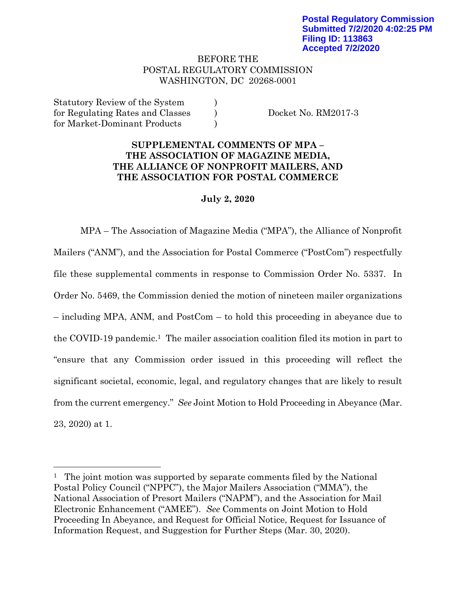## BEFORE THE POSTAL REGULATORY COMMISSION WASHINGTON, DC 20268-0001

Statutory Review of the System  $\qquad$ ) for Regulating Rates and Classes (b) Docket No. RM2017-3 for Market-Dominant Products )

# **SUPPLEMENTAL COMMENTS OF MPA – THE ASSOCIATION OF MAGAZINE MEDIA, THE ALLIANCE OF NONPROFIT MAILERS, AND THE ASSOCIATION FOR POSTAL COMMERCE**

#### **July 2, 2020**

MPA – The Association of Magazine Media ("MPA"), the Alliance of Nonprofit Mailers ("ANM"), and the Association for Postal Commerce ("PostCom") respectfully file these supplemental comments in response to Commission Order No. 5337. In Order No. 5469, the Commission denied the motion of nineteen mailer organizations – including MPA, ANM, and PostCom – to hold this proceeding in abeyance due to the COVID-19 pandemic.[1](#page-0-0) The mailer association coalition filed its motion in part to "ensure that any Commission order issued in this proceeding will reflect the significant societal, economic, legal, and regulatory changes that are likely to result from the current emergency." *See* Joint Motion to Hold Proceeding in Abeyance (Mar. 23, 2020) at 1.

<span id="page-0-0"></span><sup>&</sup>lt;sup>1</sup> The joint motion was supported by separate comments filed by the National Postal Policy Council ("NPPC"), the Major Mailers Association ("MMA"), the National Association of Presort Mailers ("NAPM"), and the Association for Mail Electronic Enhancement ("AMEE"). *See* Comments on Joint Motion to Hold Proceeding In Abeyance, and Request for Official Notice, Request for Issuance of Information Request, and Suggestion for Further Steps (Mar. 30, 2020).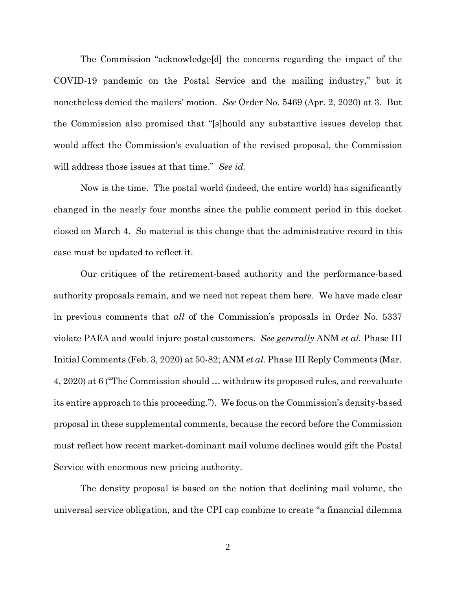The Commission "acknowledge[d] the concerns regarding the impact of the COVID-19 pandemic on the Postal Service and the mailing industry," but it nonetheless denied the mailers' motion. *See* Order No. 5469 (Apr. 2, 2020) at 3. But the Commission also promised that "[s]hould any substantive issues develop that would affect the Commission's evaluation of the revised proposal, the Commission will address those issues at that time." *See id.* 

Now is the time. The postal world (indeed, the entire world) has significantly changed in the nearly four months since the public comment period in this docket closed on March 4. So material is this change that the administrative record in this case must be updated to reflect it.

Our critiques of the retirement-based authority and the performance-based authority proposals remain, and we need not repeat them here. We have made clear in previous comments that *all* of the Commission's proposals in Order No. 5337 violate PAEA and would injure postal customers. *See generally* ANM *et al.* Phase III Initial Comments (Feb. 3, 2020) at 50-82; ANM *et al.* Phase III Reply Comments (Mar. 4, 2020) at 6 ("The Commission should … withdraw its proposed rules, and reevaluate its entire approach to this proceeding."). We focus on the Commission's density-based proposal in these supplemental comments, because the record before the Commission must reflect how recent market-dominant mail volume declines would gift the Postal Service with enormous new pricing authority.

The density proposal is based on the notion that declining mail volume, the universal service obligation, and the CPI cap combine to create "a financial dilemma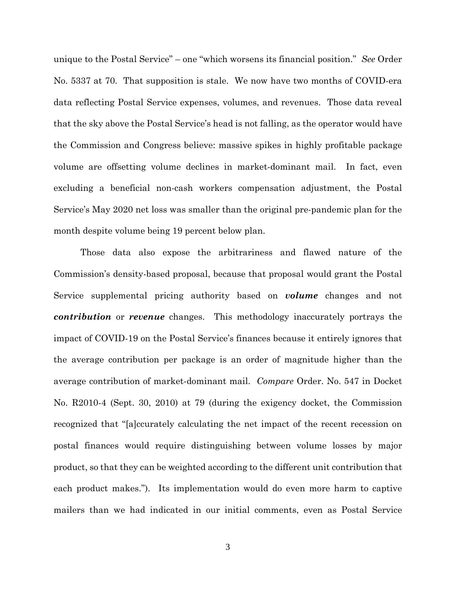unique to the Postal Service" – one "which worsens its financial position." *See* Order No. 5337 at 70. That supposition is stale. We now have two months of COVID-era data reflecting Postal Service expenses, volumes, and revenues. Those data reveal that the sky above the Postal Service's head is not falling, as the operator would have the Commission and Congress believe: massive spikes in highly profitable package volume are offsetting volume declines in market-dominant mail. In fact, even excluding a beneficial non-cash workers compensation adjustment, the Postal Service's May 2020 net loss was smaller than the original pre-pandemic plan for the month despite volume being 19 percent below plan.

Those data also expose the arbitrariness and flawed nature of the Commission's density-based proposal, because that proposal would grant the Postal Service supplemental pricing authority based on *volume* changes and not *contribution* or *revenue* changes. This methodology inaccurately portrays the impact of COVID-19 on the Postal Service's finances because it entirely ignores that the average contribution per package is an order of magnitude higher than the average contribution of market-dominant mail. *Compare* Order. No. 547 in Docket No. R2010-4 (Sept. 30, 2010) at 79 (during the exigency docket, the Commission recognized that "[a]ccurately calculating the net impact of the recent recession on postal finances would require distinguishing between volume losses by major product, so that they can be weighted according to the different unit contribution that each product makes."). Its implementation would do even more harm to captive mailers than we had indicated in our initial comments, even as Postal Service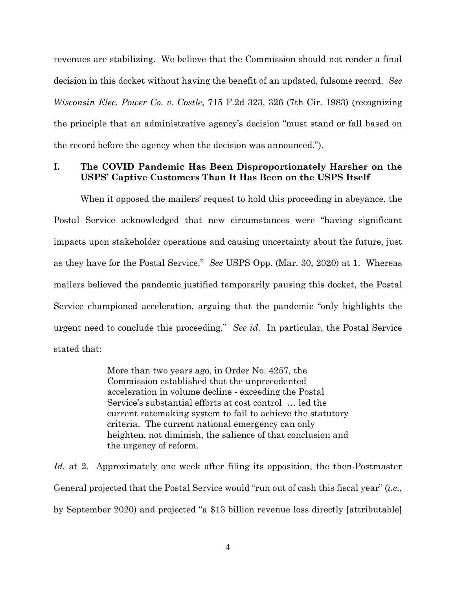revenues are stabilizing. We believe that the Commission should not render a final decision in this docket without having the benefit of an updated, fulsome record. *See Wisconsin Elec. Power Co. v. Costle*, 715 F.2d 323, 326 (7th Cir. 1983) (recognizing the principle that an administrative agency's decision "must stand or fall based on the record before the agency when the decision was announced.").

### **I. The COVID Pandemic Has Been Disproportionately Harsher on the USPS' Captive Customers Than It Has Been on the USPS Itself**

When it opposed the mailers' request to hold this proceeding in abeyance, the Postal Service acknowledged that new circumstances were "having significant impacts upon stakeholder operations and causing uncertainty about the future, just as they have for the Postal Service." *See* USPS Opp. (Mar. 30, 2020) at 1. Whereas mailers believed the pandemic justified temporarily pausing this docket, the Postal Service championed acceleration, arguing that the pandemic "only highlights the urgent need to conclude this proceeding." *See id.* In particular, the Postal Service stated that:

> More than two years ago, in Order No. 4257, the Commission established that the unprecedented acceleration in volume decline - exceeding the Postal Service's substantial efforts at cost control … led the current ratemaking system to fail to achieve the statutory criteria. The current national emergency can only heighten, not diminish, the salience of that conclusion and the urgency of reform.

*Id.* at 2. Approximately one week after filing its opposition, the then-Postmaster General projected that the Postal Service would "run out of cash this fiscal year" (*i.e.*, by September 2020) and projected "a \$13 billion revenue loss directly [attributable]

4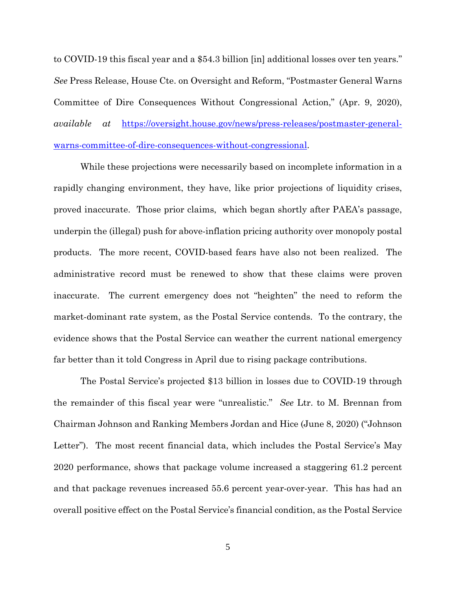to COVID-19 this fiscal year and a \$54.3 billion [in] additional losses over ten years." *See* Press Release, House Cte. on Oversight and Reform, "Postmaster General Warns Committee of Dire Consequences Without Congressional Action," (Apr. 9, 2020), *available at* [https://oversight.house.gov/news/press-releases/postmaster-general](https://oversight.house.gov/news/press-releases/postmaster-general-warns-committee-of-dire-consequences-without-congressional)[warns-committee-of-dire-consequences-without-congressional](https://oversight.house.gov/news/press-releases/postmaster-general-warns-committee-of-dire-consequences-without-congressional)[.](https://oversight.house.gov/news/press-releases/postmaster-general-warns-committee-of-dire-consequences-without-congressional) 

While these projections were necessarily based on incomplete information in a rapidly changing environment, they have, like prior projections of liquidity crises, proved inaccurate. Those prior claims, which began shortly after PAEA's passage, underpin the (illegal) push for above-inflation pricing authority over monopoly postal products. The more recent, COVID-based fears have also not been realized. The administrative record must be renewed to show that these claims were proven inaccurate. The current emergency does not "heighten" the need to reform the market-dominant rate system, as the Postal Service contends. To the contrary, the evidence shows that the Postal Service can weather the current national emergency far better than it told Congress in April due to rising package contributions.

The Postal Service's projected \$13 billion in losses due to COVID-19 through the remainder of this fiscal year were "unrealistic." *See* Ltr. to M. Brennan from Chairman Johnson and Ranking Members Jordan and Hice (June 8, 2020) ("Johnson Letter"). The most recent financial data, which includes the Postal Service's May 2020 performance, shows that package volume increased a staggering 61.2 percent and that package revenues increased 55.6 percent year-over-year. This has had an overall positive effect on the Postal Service's financial condition, as the Postal Service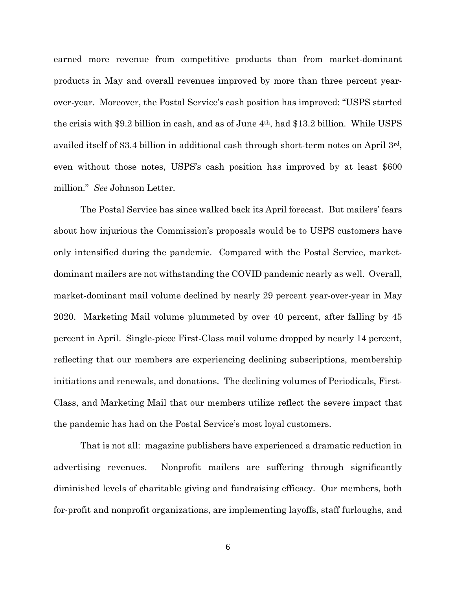earned more revenue from competitive products than from market-dominant products in May and overall revenues improved by more than three percent yearover-year. Moreover, the Postal Service's cash position has improved: "USPS started the crisis with \$9.2 billion in cash, and as of June 4th, had \$13.2 billion. While USPS availed itself of \$3.4 billion in additional cash through short-term notes on April 3rd, even without those notes, USPS's cash position has improved by at least \$600 million." *See* Johnson Letter.

The Postal Service has since walked back its April forecast. But mailers' fears about how injurious the Commission's proposals would be to USPS customers have only intensified during the pandemic. Compared with the Postal Service, marketdominant mailers are not withstanding the COVID pandemic nearly as well. Overall, market-dominant mail volume declined by nearly 29 percent year-over-year in May 2020. Marketing Mail volume plummeted by over 40 percent, after falling by 45 percent in April. Single-piece First-Class mail volume dropped by nearly 14 percent, reflecting that our members are experiencing declining subscriptions, membership initiations and renewals, and donations. The declining volumes of Periodicals, First-Class, and Marketing Mail that our members utilize reflect the severe impact that the pandemic has had on the Postal Service's most loyal customers.

That is not all: magazine publishers have experienced a dramatic reduction in advertising revenues. Nonprofit mailers are suffering through significantly diminished levels of charitable giving and fundraising efficacy. Our members, both for-profit and nonprofit organizations, are implementing layoffs, staff furloughs, and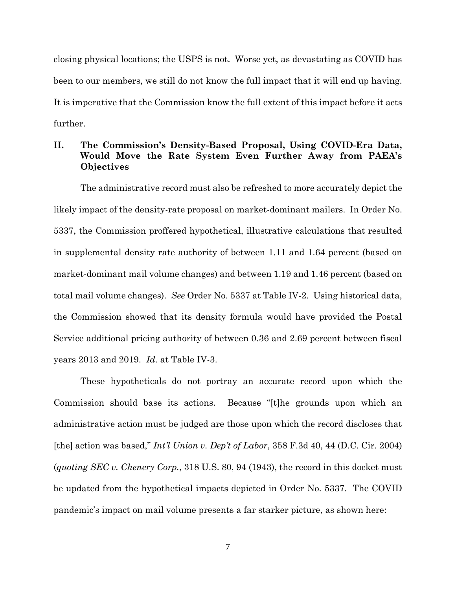closing physical locations; the USPS is not. Worse yet, as devastating as COVID has been to our members, we still do not know the full impact that it will end up having. It is imperative that the Commission know the full extent of this impact before it acts further.

# **II. The Commission's Density-Based Proposal, Using COVID-Era Data, Would Move the Rate System Even Further Away from PAEA's Objectives**

The administrative record must also be refreshed to more accurately depict the likely impact of the density-rate proposal on market-dominant mailers. In Order No. 5337, the Commission proffered hypothetical, illustrative calculations that resulted in supplemental density rate authority of between 1.11 and 1.64 percent (based on market-dominant mail volume changes) and between 1.19 and 1.46 percent (based on total mail volume changes). *See* Order No. 5337 at Table IV-2. Using historical data, the Commission showed that its density formula would have provided the Postal Service additional pricing authority of between 0.36 and 2.69 percent between fiscal years 2013 and 2019. *Id.* at Table IV-3.

These hypotheticals do not portray an accurate record upon which the Commission should base its actions. Because "[t]he grounds upon which an administrative action must be judged are those upon which the record discloses that [the] action was based," *Int'l Union v. Dep't of Labor*, 358 F.3d 40, 44 (D.C. Cir. 2004) (*quoting SEC v. Chenery Corp.*, 318 U.S. 80, 94 (1943), the record in this docket must be updated from the hypothetical impacts depicted in Order No. 5337. The COVID pandemic's impact on mail volume presents a far starker picture, as shown here: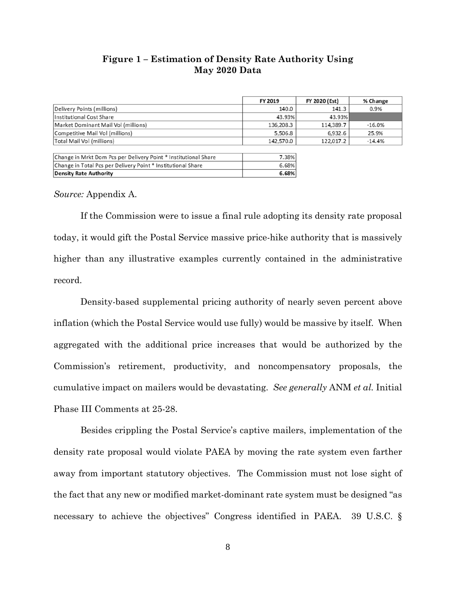# **Figure 1 – Estimation of Density Rate Authority Using May 2020 Data**

|                                     | FY 2019   | FY 2020 (Est) | % Change |
|-------------------------------------|-----------|---------------|----------|
| Delivery Points (millions)          | 140.0     | 141.3         | 0.9%     |
| Institutional Cost Share            | 43.93%    | 43.93%        |          |
| Market Dominant Mail Vol (millions) | 136,208.3 | 114,389.7     | $-16.0%$ |
| Competitive Mail Vol (millions)     | 5,506.8   | 6,932.6       | 25.9%    |
| Total Mail Vol (millions)           | 142,570.0 | 122,017.2     | $-14.4%$ |
|                                     |           |               |          |

| Change in Mrkt Dom Pcs per Delivery Point * Institutional Share | 7.38% |
|-----------------------------------------------------------------|-------|
| Change in Total Pcs per Delivery Point * Institutional Share    | 6.68% |
| <b>Density Rate Authority</b>                                   | 6.68% |

### *Source:* Appendix A.

If the Commission were to issue a final rule adopting its density rate proposal today, it would gift the Postal Service massive price-hike authority that is massively higher than any illustrative examples currently contained in the administrative record.

Density-based supplemental pricing authority of nearly seven percent above inflation (which the Postal Service would use fully) would be massive by itself. When aggregated with the additional price increases that would be authorized by the Commission's retirement, productivity, and noncompensatory proposals, the cumulative impact on mailers would be devastating. *See generally* ANM *et al.* Initial Phase III Comments at 25-28.

Besides crippling the Postal Service's captive mailers, implementation of the density rate proposal would violate PAEA by moving the rate system even farther away from important statutory objectives. The Commission must not lose sight of the fact that any new or modified market-dominant rate system must be designed "as necessary to achieve the objectives" Congress identified in PAEA. 39 U.S.C. §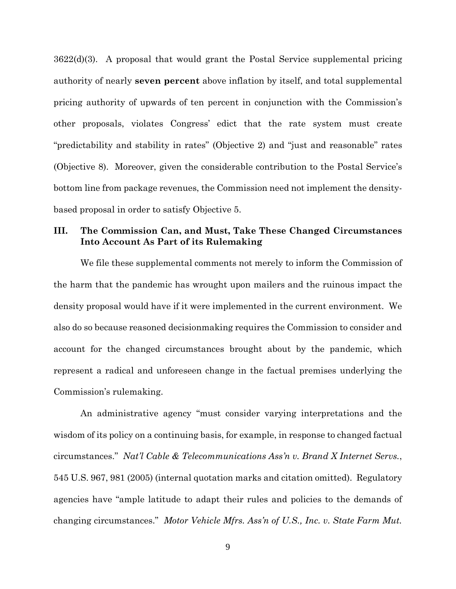3622(d)(3). A proposal that would grant the Postal Service supplemental pricing authority of nearly **seven percent** above inflation by itself, and total supplemental pricing authority of upwards of ten percent in conjunction with the Commission's other proposals, violates Congress' edict that the rate system must create "predictability and stability in rates" (Objective 2) and "just and reasonable" rates (Objective 8). Moreover, given the considerable contribution to the Postal Service's bottom line from package revenues, the Commission need not implement the densitybased proposal in order to satisfy Objective 5.

# **III. The Commission Can, and Must, Take These Changed Circumstances Into Account As Part of its Rulemaking**

We file these supplemental comments not merely to inform the Commission of the harm that the pandemic has wrought upon mailers and the ruinous impact the density proposal would have if it were implemented in the current environment. We also do so because reasoned decisionmaking requires the Commission to consider and account for the changed circumstances brought about by the pandemic, which represent a radical and unforeseen change in the factual premises underlying the Commission's rulemaking.

An administrative agency "must consider varying interpretations and the wisdom of its policy on a continuing basis, for example, in response to changed factual circumstances." *Nat'l Cable & Telecommunications Ass'n v. Brand X Internet Servs.*, 545 U.S. 967, 981 (2005) (internal quotation marks and citation omitted). Regulatory agencies have "ample latitude to adapt their rules and policies to the demands of changing circumstances." *Motor Vehicle Mfrs. Ass'n of U.S., Inc. v. State Farm Mut.*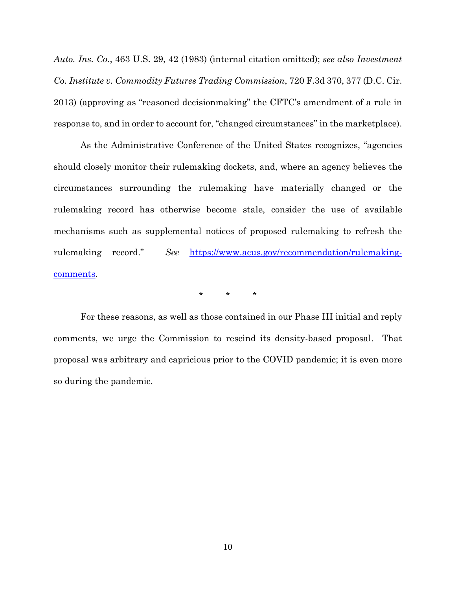*Auto. Ins. Co.*, 463 U.S. 29, 42 (1983) (internal citation omitted); *see also Investment Co. Institute v. Commodity Futures Trading Commission*, 720 F.3d 370, 377 (D.C. Cir. 2013) (approving as "reasoned decisionmaking" the CFTC's amendment of a rule in response to, and in order to account for, "changed circumstances" in the marketplace).

As the Administrative Conference of the United States recognizes, "agencies should closely monitor their rulemaking dockets, and, where an agency believes the circumstances surrounding the rulemaking have materially changed or the rulemaking record has otherwise become stale, consider the use of available mechanisms such as supplemental notices of proposed rulemaking to refresh the rulemaking record." *See* [https://www.acus.gov/recommendation/rulemaking](https://www.acus.gov/recommendation/rulemaking-comments)[comments.](https://www.acus.gov/recommendation/rulemaking-comments) 

\* \* \*

For these reasons, as well as those contained in our Phase III initial and reply comments, we urge the Commission to rescind its density-based proposal. That proposal was arbitrary and capricious prior to the COVID pandemic; it is even more so during the pandemic.

10